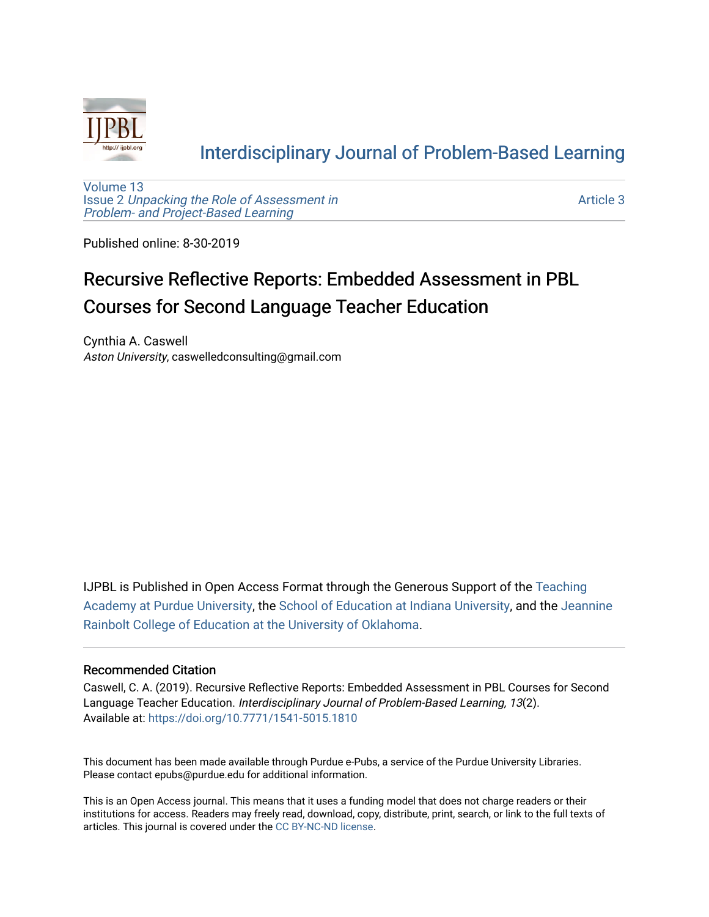

### [Interdisciplinary Journal of Problem-Based Learning](https://docs.lib.purdue.edu/ijpbl)

[Volume 13](https://docs.lib.purdue.edu/ijpbl/vol13) Issue 2 [Unpacking the Role of Assessment in](https://docs.lib.purdue.edu/ijpbl/vol13/iss2)  [Problem- and Project-Based Learning](https://docs.lib.purdue.edu/ijpbl/vol13/iss2)

[Article 3](https://docs.lib.purdue.edu/ijpbl/vol13/iss2/3) 

Published online: 8-30-2019

# Recursive Reflective Reports: Embedded Assessment in PBL Courses for Second Language Teacher Education

Cynthia A. Caswell Aston University, caswelledconsulting@gmail.com

IJPBL is Published in Open Access Format through the Generous Support of the [Teaching](https://www.purdue.edu/cie/aboutus/teachingacademy.html) [Academy at Purdue University](https://www.purdue.edu/cie/aboutus/teachingacademy.html), the [School of Education at Indiana University,](https://education.indiana.edu/index.html) and the [Jeannine](http://ou.edu/education) [Rainbolt College of Education at the University of Oklahoma](http://ou.edu/education).

#### Recommended Citation

Caswell, C. A. (2019). Recursive Reflective Reports: Embedded Assessment in PBL Courses for Second Language Teacher Education. Interdisciplinary Journal of Problem-Based Learning, 13(2). Available at:<https://doi.org/10.7771/1541-5015.1810>

This document has been made available through Purdue e-Pubs, a service of the Purdue University Libraries. Please contact epubs@purdue.edu for additional information.

This is an Open Access journal. This means that it uses a funding model that does not charge readers or their institutions for access. Readers may freely read, download, copy, distribute, print, search, or link to the full texts of articles. This journal is covered under the [CC BY-NC-ND license](https://creativecommons.org/licenses/by-nc-nd/4.0/).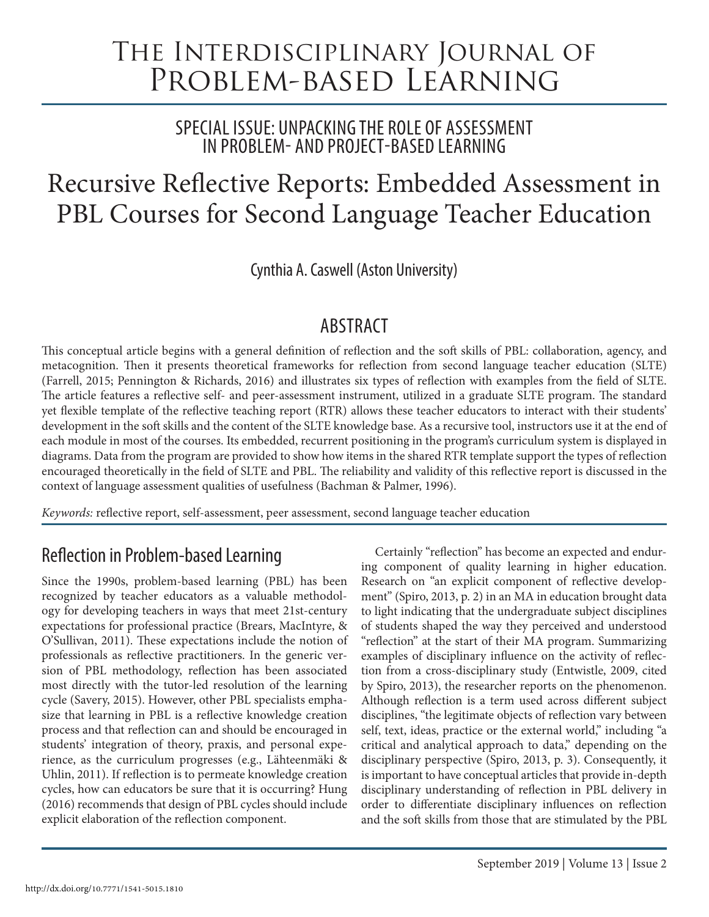# The Interdisciplinary Journal of Problem-based Learning

SPECIAL ISSUE: UNPACKING THE ROLE OF ASSESSMENT IN PROBLEM- AND PROJECT-BASED LEARNING

# Recursive Reflective Reports: Embedded Assessment in PBL Courses for Second Language Teacher Education

Cynthia A. Caswell (Aston University)

## ABSTRACT

This conceptual article begins with a general definition of reflection and the soft skills of PBL: collaboration, agency, and metacognition. Then it presents theoretical frameworks for reflection from second language teacher education (SLTE) (Farrell, 2015; Pennington & Richards, 2016) and illustrates six types of reflection with examples from the field of SLTE. The article features a reflective self- and peer-assessment instrument, utilized in a graduate SLTE program. The standard yet flexible template of the reflective teaching report (RTR) allows these teacher educators to interact with their students' development in the soft skills and the content of the SLTE knowledge base. As a recursive tool, instructors use it at the end of each module in most of the courses. Its embedded, recurrent positioning in the program's curriculum system is displayed in diagrams. Data from the program are provided to show how items in the shared RTR template support the types of reflection encouraged theoretically in the field of SLTE and PBL. The reliability and validity of this reflective report is discussed in the context of language assessment qualities of usefulness (Bachman & Palmer, 1996).

*Keywords:* reflective report, self-assessment, peer assessment, second language teacher education

# Reflection in Problem-based Learning

Since the 1990s, problem-based learning (PBL) has been recognized by teacher educators as a valuable methodology for developing teachers in ways that meet 21st-century expectations for professional practice (Brears, MacIntyre, & O'Sullivan, 2011). These expectations include the notion of professionals as reflective practitioners. In the generic version of PBL methodology, reflection has been associated most directly with the tutor-led resolution of the learning cycle (Savery, 2015). However, other PBL specialists emphasize that learning in PBL is a reflective knowledge creation process and that reflection can and should be encouraged in students' integration of theory, praxis, and personal experience, as the curriculum progresses (e.g., Lähteenmäki & Uhlin, 2011). If reflection is to permeate knowledge creation cycles, how can educators be sure that it is occurring? Hung (2016) recommends that design of PBL cycles should include explicit elaboration of the reflection component.

Certainly "reflection" has become an expected and enduring component of quality learning in higher education. Research on "an explicit component of reflective development" (Spiro, 2013, p. 2) in an MA in education brought data to light indicating that the undergraduate subject disciplines of students shaped the way they perceived and understood "reflection" at the start of their MA program. Summarizing examples of disciplinary influence on the activity of reflection from a cross-disciplinary study (Entwistle, 2009, cited by Spiro, 2013), the researcher reports on the phenomenon. Although reflection is a term used across different subject disciplines, "the legitimate objects of reflection vary between self, text, ideas, practice or the external world," including "a critical and analytical approach to data," depending on the disciplinary perspective (Spiro, 2013, p. 3). Consequently, it is important to have conceptual articles that provide in-depth disciplinary understanding of reflection in PBL delivery in order to differentiate disciplinary influences on reflection and the soft skills from those that are stimulated by the PBL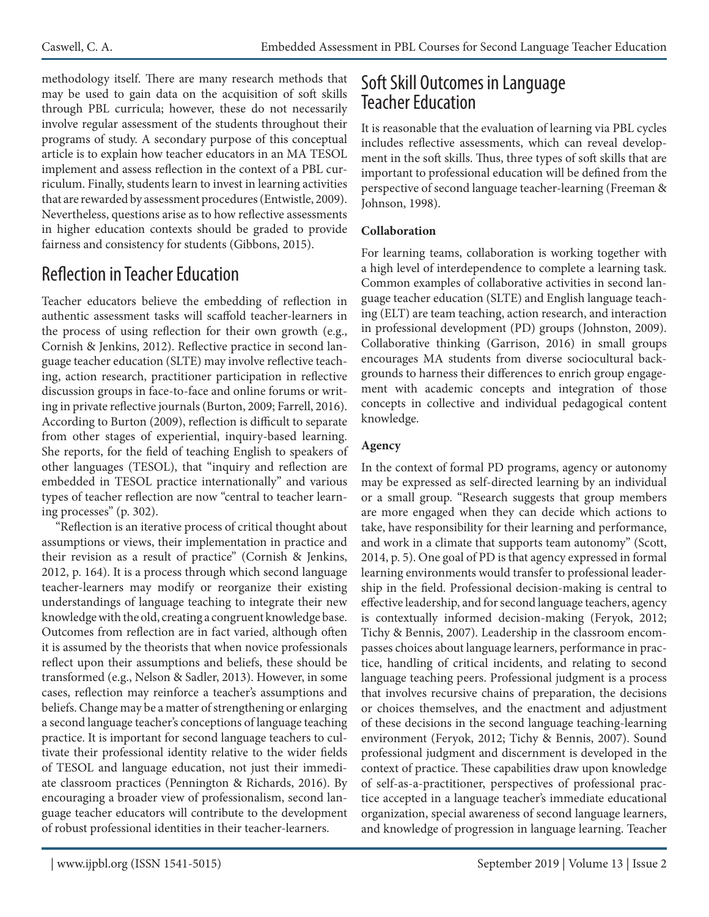methodology itself. There are many research methods that may be used to gain data on the acquisition of soft skills through PBL curricula; however, these do not necessarily involve regular assessment of the students throughout their programs of study. A secondary purpose of this conceptual article is to explain how teacher educators in an MA TESOL implement and assess reflection in the context of a PBL curriculum. Finally, students learn to invest in learning activities that are rewarded by assessment procedures (Entwistle, 2009). Nevertheless, questions arise as to how reflective assessments in higher education contexts should be graded to provide fairness and consistency for students (Gibbons, 2015).

# Reflection in Teacher Education

Teacher educators believe the embedding of reflection in authentic assessment tasks will scaffold teacher-learners in the process of using reflection for their own growth (e.g., Cornish & Jenkins, 2012). Reflective practice in second language teacher education (SLTE) may involve reflective teaching, action research, practitioner participation in reflective discussion groups in face-to-face and online forums or writing in private reflective journals (Burton, 2009; Farrell, 2016). According to Burton (2009), reflection is difficult to separate from other stages of experiential, inquiry-based learning. She reports, for the field of teaching English to speakers of other languages (TESOL), that "inquiry and reflection are embedded in TESOL practice internationally" and various types of teacher reflection are now "central to teacher learning processes" (p. 302).

"Reflection is an iterative process of critical thought about assumptions or views, their implementation in practice and their revision as a result of practice" (Cornish & Jenkins, 2012, p. 164). It is a process through which second language teacher-learners may modify or reorganize their existing understandings of language teaching to integrate their new knowledge with the old, creating a congruent knowledge base. Outcomes from reflection are in fact varied, although often it is assumed by the theorists that when novice professionals reflect upon their assumptions and beliefs, these should be transformed (e.g., Nelson & Sadler, 2013). However, in some cases, reflection may reinforce a teacher's assumptions and beliefs. Change may be a matter of strengthening or enlarging a second language teacher's conceptions of language teaching practice. It is important for second language teachers to cultivate their professional identity relative to the wider fields of TESOL and language education, not just their immediate classroom practices (Pennington & Richards, 2016). By encouraging a broader view of professionalism, second language teacher educators will contribute to the development of robust professional identities in their teacher-learners.

### Soft Skill Outcomes in Language Teacher Education

It is reasonable that the evaluation of learning via PBL cycles includes reflective assessments, which can reveal development in the soft skills. Thus, three types of soft skills that are important to professional education will be defined from the perspective of second language teacher-learning (Freeman & Johnson, 1998).

#### **Collaboration**

For learning teams, collaboration is working together with a high level of interdependence to complete a learning task. Common examples of collaborative activities in second language teacher education (SLTE) and English language teaching (ELT) are team teaching, action research, and interaction in professional development (PD) groups (Johnston, 2009). Collaborative thinking (Garrison, 2016) in small groups encourages MA students from diverse sociocultural backgrounds to harness their differences to enrich group engagement with academic concepts and integration of those concepts in collective and individual pedagogical content knowledge.

#### **Agency**

In the context of formal PD programs, agency or autonomy may be expressed as self-directed learning by an individual or a small group. "Research suggests that group members are more engaged when they can decide which actions to take, have responsibility for their learning and performance, and work in a climate that supports team autonomy" (Scott, 2014, p. 5). One goal of PD is that agency expressed in formal learning environments would transfer to professional leadership in the field. Professional decision-making is central to effective leadership, and for second language teachers, agency is contextually informed decision-making (Feryok, 2012; Tichy & Bennis, 2007). Leadership in the classroom encompasses choices about language learners, performance in practice, handling of critical incidents, and relating to second language teaching peers. Professional judgment is a process that involves recursive chains of preparation, the decisions or choices themselves, and the enactment and adjustment of these decisions in the second language teaching-learning environment (Feryok, 2012; Tichy & Bennis, 2007). Sound professional judgment and discernment is developed in the context of practice. These capabilities draw upon knowledge of self-as-a-practitioner, perspectives of professional practice accepted in a language teacher's immediate educational organization, special awareness of second language learners, and knowledge of progression in language learning. Teacher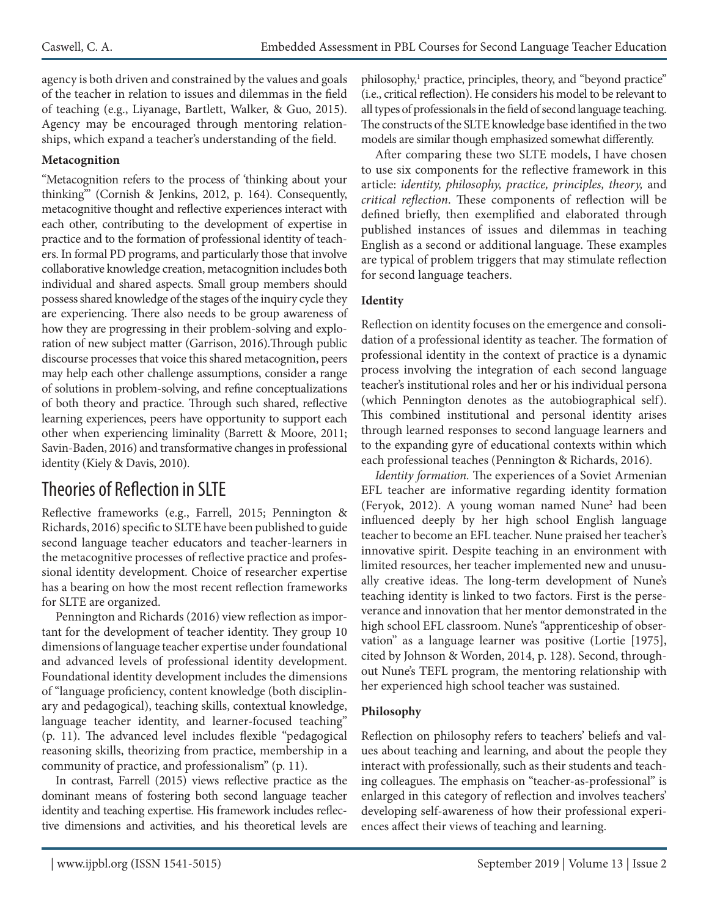agency is both driven and constrained by the values and goals of the teacher in relation to issues and dilemmas in the field of teaching (e.g., Liyanage, Bartlett, Walker, & Guo, 2015). Agency may be encouraged through mentoring relationships, which expand a teacher's understanding of the field.

#### **Metacognition**

"Metacognition refers to the process of 'thinking about your thinking'" (Cornish & Jenkins, 2012, p. 164). Consequently, metacognitive thought and reflective experiences interact with each other, contributing to the development of expertise in practice and to the formation of professional identity of teachers. In formal PD programs, and particularly those that involve collaborative knowledge creation, metacognition includes both individual and shared aspects. Small group members should possess shared knowledge of the stages of the inquiry cycle they are experiencing. There also needs to be group awareness of how they are progressing in their problem-solving and exploration of new subject matter (Garrison, 2016).Through public discourse processes that voice this shared metacognition, peers may help each other challenge assumptions, consider a range of solutions in problem-solving, and refine conceptualizations of both theory and practice. Through such shared, reflective learning experiences, peers have opportunity to support each other when experiencing liminality (Barrett & Moore, 2011; Savin-Baden, 2016) and transformative changes in professional identity (Kiely & Davis, 2010).

### Theories of Reflection in SLTE

Reflective frameworks (e.g., Farrell, 2015; Pennington & Richards, 2016) specific to SLTE have been published to guide second language teacher educators and teacher-learners in the metacognitive processes of reflective practice and professional identity development. Choice of researcher expertise has a bearing on how the most recent reflection frameworks for SLTE are organized.

Pennington and Richards (2016) view reflection as important for the development of teacher identity. They group 10 dimensions of language teacher expertise under foundational and advanced levels of professional identity development. Foundational identity development includes the dimensions of "language proficiency, content knowledge (both disciplinary and pedagogical), teaching skills, contextual knowledge, language teacher identity, and learner-focused teaching" (p. 11). The advanced level includes flexible "pedagogical reasoning skills, theorizing from practice, membership in a community of practice, and professionalism" (p. 11).

In contrast, Farrell (2015) views reflective practice as the dominant means of fostering both second language teacher identity and teaching expertise. His framework includes reflective dimensions and activities, and his theoretical levels are

philosophy,<sup>1</sup> practice, principles, theory, and "beyond practice" (i.e., critical reflection). He considers his model to be relevant to all types of professionals in the field of second language teaching. The constructs of the SLTE knowledge base identified in the two models are similar though emphasized somewhat differently.

After comparing these two SLTE models, I have chosen to use six components for the reflective framework in this article: *identity, philosophy, practice, principles, theory,* and *critical reflection*. These components of reflection will be defined briefly, then exemplified and elaborated through published instances of issues and dilemmas in teaching English as a second or additional language. These examples are typical of problem triggers that may stimulate reflection for second language teachers.

#### **Identity**

Reflection on identity focuses on the emergence and consolidation of a professional identity as teacher. The formation of professional identity in the context of practice is a dynamic process involving the integration of each second language teacher's institutional roles and her or his individual persona (which Pennington denotes as the autobiographical self). This combined institutional and personal identity arises through learned responses to second language learners and to the expanding gyre of educational contexts within which each professional teaches (Pennington & Richards, 2016).

*Identity formation.* The experiences of a Soviet Armenian EFL teacher are informative regarding identity formation (Feryok, 2012). A young woman named Nune<sup>2</sup> had been influenced deeply by her high school English language teacher to become an EFL teacher. Nune praised her teacher's innovative spirit. Despite teaching in an environment with limited resources, her teacher implemented new and unusually creative ideas. The long-term development of Nune's teaching identity is linked to two factors. First is the perseverance and innovation that her mentor demonstrated in the high school EFL classroom. Nune's "apprenticeship of observation" as a language learner was positive (Lortie [1975], cited by Johnson & Worden, 2014, p. 128). Second, throughout Nune's TEFL program, the mentoring relationship with her experienced high school teacher was sustained.

#### **Philosophy**

Reflection on philosophy refers to teachers' beliefs and values about teaching and learning, and about the people they interact with professionally, such as their students and teaching colleagues. The emphasis on "teacher-as-professional" is enlarged in this category of reflection and involves teachers' developing self-awareness of how their professional experiences affect their views of teaching and learning.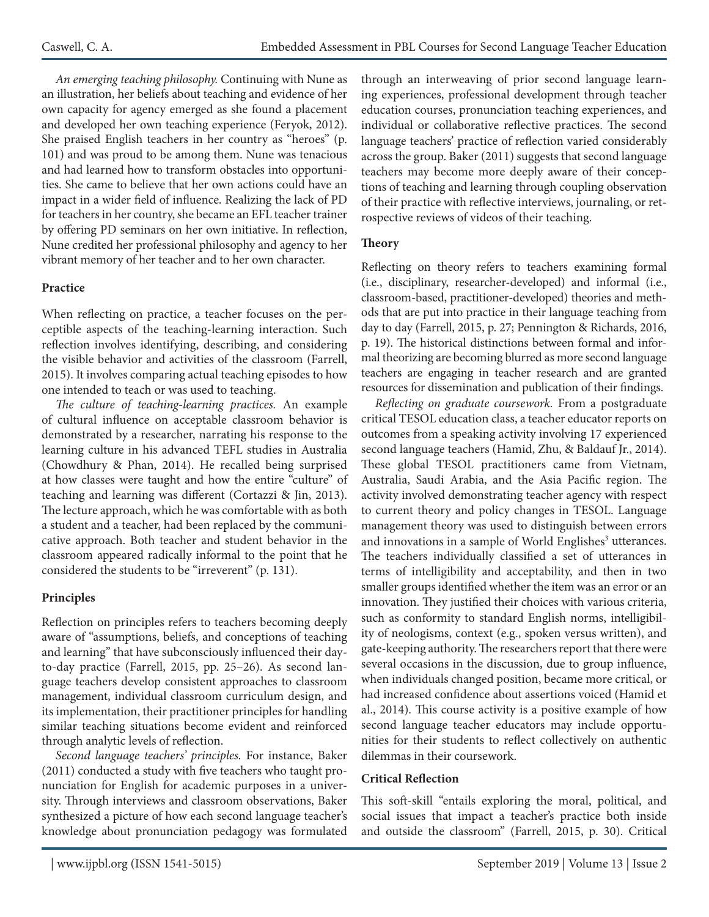*An emerging teaching philosophy.* Continuing with Nune as an illustration, her beliefs about teaching and evidence of her own capacity for agency emerged as she found a placement and developed her own teaching experience (Feryok, 2012). She praised English teachers in her country as "heroes" (p. 101) and was proud to be among them. Nune was tenacious and had learned how to transform obstacles into opportunities. She came to believe that her own actions could have an impact in a wider field of influence. Realizing the lack of PD for teachers in her country, she became an EFL teacher trainer by offering PD seminars on her own initiative. In reflection, Nune credited her professional philosophy and agency to her vibrant memory of her teacher and to her own character.

#### **Practice**

When reflecting on practice, a teacher focuses on the perceptible aspects of the teaching-learning interaction. Such reflection involves identifying, describing, and considering the visible behavior and activities of the classroom (Farrell, 2015). It involves comparing actual teaching episodes to how one intended to teach or was used to teaching.

*The culture of teaching-learning practices.* An example of cultural influence on acceptable classroom behavior is demonstrated by a researcher, narrating his response to the learning culture in his advanced TEFL studies in Australia (Chowdhury & Phan, 2014). He recalled being surprised at how classes were taught and how the entire "culture" of teaching and learning was different (Cortazzi & Jin, 2013). The lecture approach, which he was comfortable with as both a student and a teacher, had been replaced by the communicative approach. Both teacher and student behavior in the classroom appeared radically informal to the point that he considered the students to be "irreverent" (p. 131).

#### **Principles**

Reflection on principles refers to teachers becoming deeply aware of "assumptions, beliefs, and conceptions of teaching and learning" that have subconsciously influenced their dayto-day practice (Farrell, 2015, pp. 25–26). As second language teachers develop consistent approaches to classroom management, individual classroom curriculum design, and its implementation, their practitioner principles for handling similar teaching situations become evident and reinforced through analytic levels of reflection.

*Second language teachers' principles.* For instance, Baker (2011) conducted a study with five teachers who taught pronunciation for English for academic purposes in a university. Through interviews and classroom observations, Baker synthesized a picture of how each second language teacher's knowledge about pronunciation pedagogy was formulated through an interweaving of prior second language learning experiences, professional development through teacher education courses, pronunciation teaching experiences, and individual or collaborative reflective practices. The second language teachers' practice of reflection varied considerably across the group. Baker (2011) suggests that second language teachers may become more deeply aware of their conceptions of teaching and learning through coupling observation of their practice with reflective interviews, journaling, or retrospective reviews of videos of their teaching.

#### **Theory**

Reflecting on theory refers to teachers examining formal (i.e., disciplinary, researcher-developed) and informal (i.e., classroom-based, practitioner-developed) theories and methods that are put into practice in their language teaching from day to day (Farrell, 2015, p. 27; Pennington & Richards, 2016, p. 19). The historical distinctions between formal and informal theorizing are becoming blurred as more second language teachers are engaging in teacher research and are granted resources for dissemination and publication of their findings.

*Reflecting on graduate coursework.* From a postgraduate critical TESOL education class, a teacher educator reports on outcomes from a speaking activity involving 17 experienced second language teachers (Hamid, Zhu, & Baldauf Jr., 2014). These global TESOL practitioners came from Vietnam, Australia, Saudi Arabia, and the Asia Pacific region. The activity involved demonstrating teacher agency with respect to current theory and policy changes in TESOL. Language management theory was used to distinguish between errors and innovations in a sample of World Englishes<sup>3</sup> utterances. The teachers individually classified a set of utterances in terms of intelligibility and acceptability, and then in two smaller groups identified whether the item was an error or an innovation. They justified their choices with various criteria, such as conformity to standard English norms, intelligibility of neologisms, context (e.g., spoken versus written), and gate-keeping authority. The researchers report that there were several occasions in the discussion, due to group influence, when individuals changed position, became more critical, or had increased confidence about assertions voiced (Hamid et al., 2014). This course activity is a positive example of how second language teacher educators may include opportunities for their students to reflect collectively on authentic dilemmas in their coursework.

#### **Critical Reflection**

This soft-skill "entails exploring the moral, political, and social issues that impact a teacher's practice both inside and outside the classroom" (Farrell, 2015, p. 30). Critical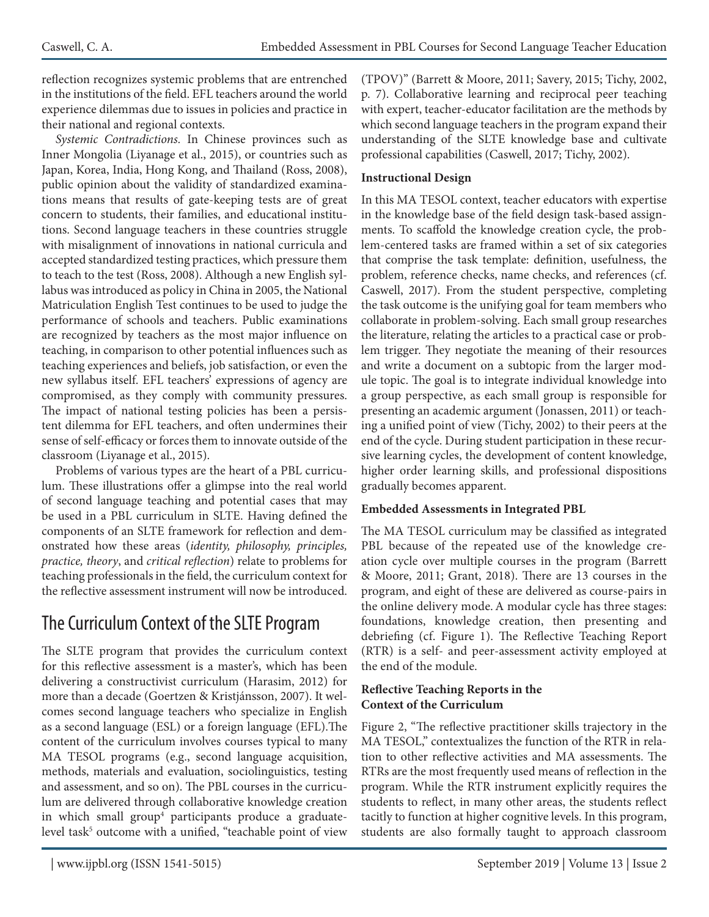reflection recognizes systemic problems that are entrenched in the institutions of the field. EFL teachers around the world experience dilemmas due to issues in policies and practice in their national and regional contexts.

*Systemic Contradictions.* In Chinese provinces such as Inner Mongolia (Liyanage et al., 2015), or countries such as Japan, Korea, India, Hong Kong, and Thailand (Ross, 2008), public opinion about the validity of standardized examinations means that results of gate-keeping tests are of great concern to students, their families, and educational institutions. Second language teachers in these countries struggle with misalignment of innovations in national curricula and accepted standardized testing practices, which pressure them to teach to the test (Ross, 2008). Although a new English syllabus was introduced as policy in China in 2005, the National Matriculation English Test continues to be used to judge the performance of schools and teachers. Public examinations are recognized by teachers as the most major influence on teaching, in comparison to other potential influences such as teaching experiences and beliefs, job satisfaction, or even the new syllabus itself. EFL teachers' expressions of agency are compromised, as they comply with community pressures. The impact of national testing policies has been a persistent dilemma for EFL teachers, and often undermines their sense of self-efficacy or forces them to innovate outside of the classroom (Liyanage et al., 2015).

Problems of various types are the heart of a PBL curriculum. These illustrations offer a glimpse into the real world of second language teaching and potential cases that may be used in a PBL curriculum in SLTE. Having defined the components of an SLTE framework for reflection and demonstrated how these areas (*identity, philosophy, principles, practice, theory*, and *critical reflection*) relate to problems for teaching professionals in the field, the curriculum context for the reflective assessment instrument will now be introduced.

# The Curriculum Context of the SLTE Program

The SLTE program that provides the curriculum context for this reflective assessment is a master's, which has been delivering a constructivist curriculum (Harasim, 2012) for more than a decade (Goertzen & Kristjánsson, 2007). It welcomes second language teachers who specialize in English as a second language (ESL) or a foreign language (EFL).The content of the curriculum involves courses typical to many MA TESOL programs (e.g., second language acquisition, methods, materials and evaluation, sociolinguistics, testing and assessment, and so on). The PBL courses in the curriculum are delivered through collaborative knowledge creation in which small group<sup>4</sup> participants produce a graduatelevel task<sup>5</sup> outcome with a unified, "teachable point of view (TPOV)" (Barrett & Moore, 2011; Savery, 2015; Tichy, 2002, p. 7). Collaborative learning and reciprocal peer teaching with expert, teacher-educator facilitation are the methods by which second language teachers in the program expand their understanding of the SLTE knowledge base and cultivate professional capabilities (Caswell, 2017; Tichy, 2002).

#### **Instructional Design**

In this MA TESOL context, teacher educators with expertise in the knowledge base of the field design task-based assignments. To scaffold the knowledge creation cycle, the problem-centered tasks are framed within a set of six categories that comprise the task template: definition, usefulness, the problem, reference checks, name checks, and references (cf. Caswell, 2017). From the student perspective, completing the task outcome is the unifying goal for team members who collaborate in problem-solving. Each small group researches the literature, relating the articles to a practical case or problem trigger. They negotiate the meaning of their resources and write a document on a subtopic from the larger module topic. The goal is to integrate individual knowledge into a group perspective, as each small group is responsible for presenting an academic argument (Jonassen, 2011) or teaching a unified point of view (Tichy, 2002) to their peers at the end of the cycle. During student participation in these recursive learning cycles, the development of content knowledge, higher order learning skills, and professional dispositions gradually becomes apparent.

#### **Embedded Assessments in Integrated PBL**

The MA TESOL curriculum may be classified as integrated PBL because of the repeated use of the knowledge creation cycle over multiple courses in the program (Barrett & Moore, 2011; Grant, 2018). There are 13 courses in the program, and eight of these are delivered as course-pairs in the online delivery mode.A modular cycle has three stages: foundations, knowledge creation, then presenting and debriefing (cf. Figure 1). The Reflective Teaching Report (RTR) is a self- and peer-assessment activity employed at the end of the module.

#### **Reflective Teaching Reports in the Context of the Curriculum**

Figure 2, "The reflective practitioner skills trajectory in the MA TESOL," contextualizes the function of the RTR in relation to other reflective activities and MA assessments. The RTRs are the most frequently used means of reflection in the program. While the RTR instrument explicitly requires the students to reflect, in many other areas, the students reflect tacitly to function at higher cognitive levels. In this program, students are also formally taught to approach classroom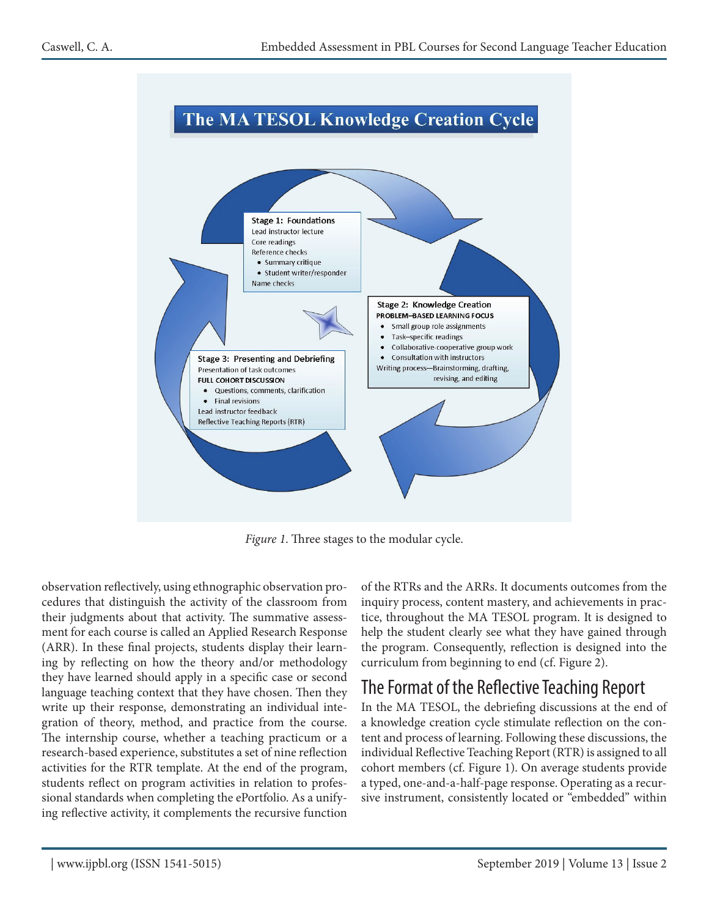

*Figure 1*. Three stages to the modular cycle.

observation reflectively, using ethnographic observation procedures that distinguish the activity of the classroom from their judgments about that activity. The summative assessment for each course is called an Applied Research Response (ARR). In these final projects, students display their learning by reflecting on how the theory and/or methodology they have learned should apply in a specific case or second language teaching context that they have chosen. Then they write up their response, demonstrating an individual integration of theory, method, and practice from the course. The internship course, whether a teaching practicum or a research-based experience, substitutes a set of nine reflection activities for the RTR template. At the end of the program, students reflect on program activities in relation to professional standards when completing the ePortfolio. As a unifying reflective activity, it complements the recursive function

of the RTRs and the ARRs. It documents outcomes from the inquiry process, content mastery, and achievements in practice, throughout the MA TESOL program. It is designed to help the student clearly see what they have gained through the program. Consequently, reflection is designed into the curriculum from beginning to end (cf. Figure 2).

### The Format of the Reflective Teaching Report

In the MA TESOL, the debriefing discussions at the end of a knowledge creation cycle stimulate reflection on the content and process of learning. Following these discussions, the individual Reflective Teaching Report (RTR) is assigned to all cohort members (cf. Figure 1). On average students provide a typed, one-and-a-half-page response. Operating as a recursive instrument, consistently located or "embedded" within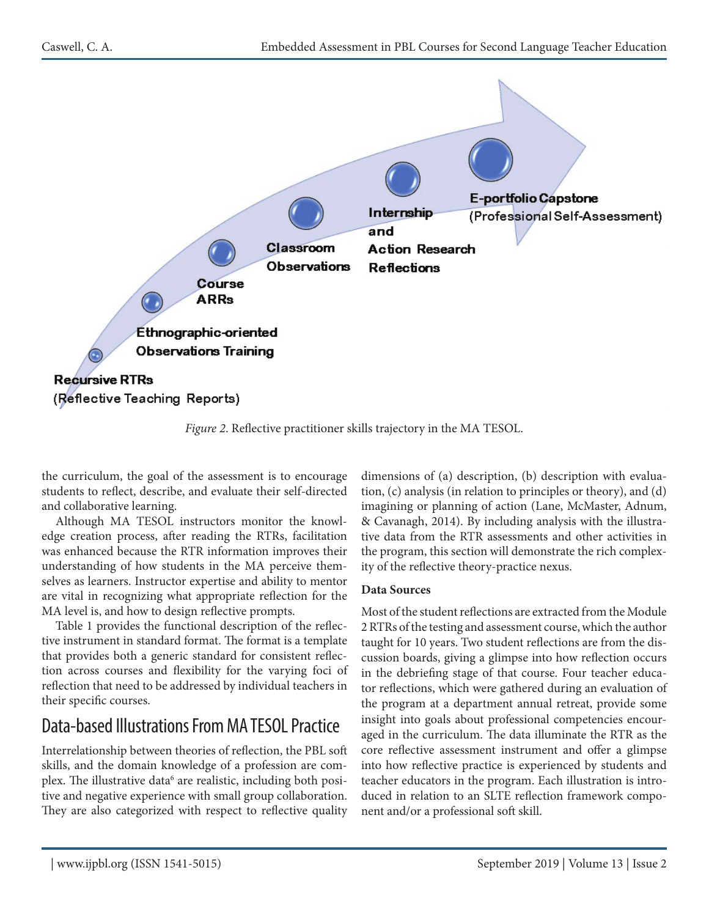

*Figure 2*. Reflective practitioner skills trajectory in the MA TESOL.

the curriculum, the goal of the assessment is to encourage students to reflect, describe, and evaluate their self-directed and collaborative learning.

Although MA TESOL instructors monitor the knowledge creation process, after reading the RTRs, facilitation was enhanced because the RTR information improves their understanding of how students in the MA perceive themselves as learners. Instructor expertise and ability to mentor are vital in recognizing what appropriate reflection for the MA level is, and how to design reflective prompts.

Table 1 provides the functional description of the reflective instrument in standard format. The format is a template that provides both a generic standard for consistent reflection across courses and flexibility for the varying foci of reflection that need to be addressed by individual teachers in their specific courses.

### Data-based Illustrations From MA TESOL Practice

Interrelationship between theories of reflection, the PBL soft skills, and the domain knowledge of a profession are complex. The illustrative data<sup>6</sup> are realistic, including both positive and negative experience with small group collaboration. They are also categorized with respect to reflective quality

dimensions of (a) description, (b) description with evaluation, (c) analysis (in relation to principles or theory), and (d) imagining or planning of action (Lane, McMaster, Adnum, & Cavanagh, 2014). By including analysis with the illustrative data from the RTR assessments and other activities in the program, this section will demonstrate the rich complexity of the reflective theory-practice nexus.

#### **Data Sources**

Most of the student reflections are extracted from the Module 2 RTRs of the testing and assessment course, which the author taught for 10 years. Two student reflections are from the discussion boards, giving a glimpse into how reflection occurs in the debriefing stage of that course. Four teacher educator reflections, which were gathered during an evaluation of the program at a department annual retreat, provide some insight into goals about professional competencies encouraged in the curriculum. The data illuminate the RTR as the core reflective assessment instrument and offer a glimpse into how reflective practice is experienced by students and teacher educators in the program. Each illustration is introduced in relation to an SLTE reflection framework component and/or a professional soft skill.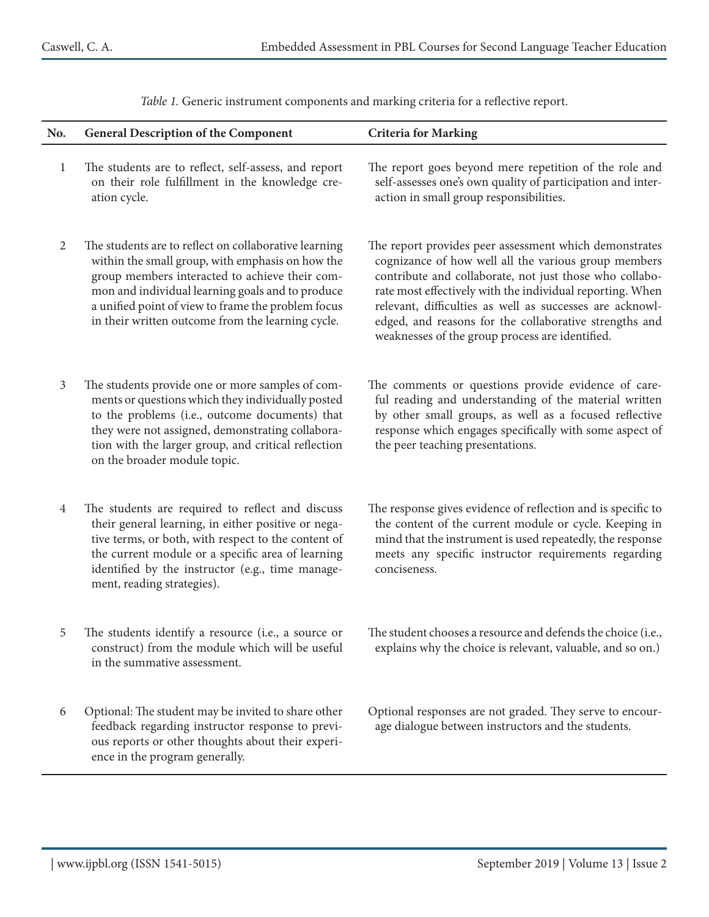| No.            | <b>General Description of the Component</b>                                                                                                                                                                                                                                                                                | <b>Criteria for Marking</b>                                                                                                                                                                                                                                                                                                                                                                                     |
|----------------|----------------------------------------------------------------------------------------------------------------------------------------------------------------------------------------------------------------------------------------------------------------------------------------------------------------------------|-----------------------------------------------------------------------------------------------------------------------------------------------------------------------------------------------------------------------------------------------------------------------------------------------------------------------------------------------------------------------------------------------------------------|
| $\mathbf{1}$   | The students are to reflect, self-assess, and report<br>on their role fulfillment in the knowledge cre-<br>ation cycle.                                                                                                                                                                                                    | The report goes beyond mere repetition of the role and<br>self-assesses one's own quality of participation and inter-<br>action in small group responsibilities.                                                                                                                                                                                                                                                |
| $\overline{2}$ | The students are to reflect on collaborative learning<br>within the small group, with emphasis on how the<br>group members interacted to achieve their com-<br>mon and individual learning goals and to produce<br>a unified point of view to frame the problem focus<br>in their written outcome from the learning cycle. | The report provides peer assessment which demonstrates<br>cognizance of how well all the various group members<br>contribute and collaborate, not just those who collabo-<br>rate most effectively with the individual reporting. When<br>relevant, difficulties as well as successes are acknowl-<br>edged, and reasons for the collaborative strengths and<br>weaknesses of the group process are identified. |
| $\mathfrak{Z}$ | The students provide one or more samples of com-<br>ments or questions which they individually posted<br>to the problems (i.e., outcome documents) that<br>they were not assigned, demonstrating collabora-<br>tion with the larger group, and critical reflection<br>on the broader module topic.                         | The comments or questions provide evidence of care-<br>ful reading and understanding of the material written<br>by other small groups, as well as a focused reflective<br>response which engages specifically with some aspect of<br>the peer teaching presentations.                                                                                                                                           |
| $\overline{4}$ | The students are required to reflect and discuss<br>their general learning, in either positive or nega-<br>tive terms, or both, with respect to the content of<br>the current module or a specific area of learning<br>identified by the instructor (e.g., time manage-<br>ment, reading strategies).                      | The response gives evidence of reflection and is specific to<br>the content of the current module or cycle. Keeping in<br>mind that the instrument is used repeatedly, the response<br>meets any specific instructor requirements regarding<br>conciseness.                                                                                                                                                     |
| 5              | The students identify a resource (i.e., a source or<br>construct) from the module which will be useful<br>in the summative assessment.                                                                                                                                                                                     | The student chooses a resource and defends the choice (i.e.,<br>explains why the choice is relevant, valuable, and so on.)                                                                                                                                                                                                                                                                                      |
| 6              | Optional: The student may be invited to share other<br>feedback regarding instructor response to previ-<br>ous reports or other thoughts about their experi-<br>ence in the program generally.                                                                                                                             | Optional responses are not graded. They serve to encour-<br>age dialogue between instructors and the students.                                                                                                                                                                                                                                                                                                  |
|                |                                                                                                                                                                                                                                                                                                                            |                                                                                                                                                                                                                                                                                                                                                                                                                 |

*Table 1.* Generic instrument components and marking criteria for a reflective report.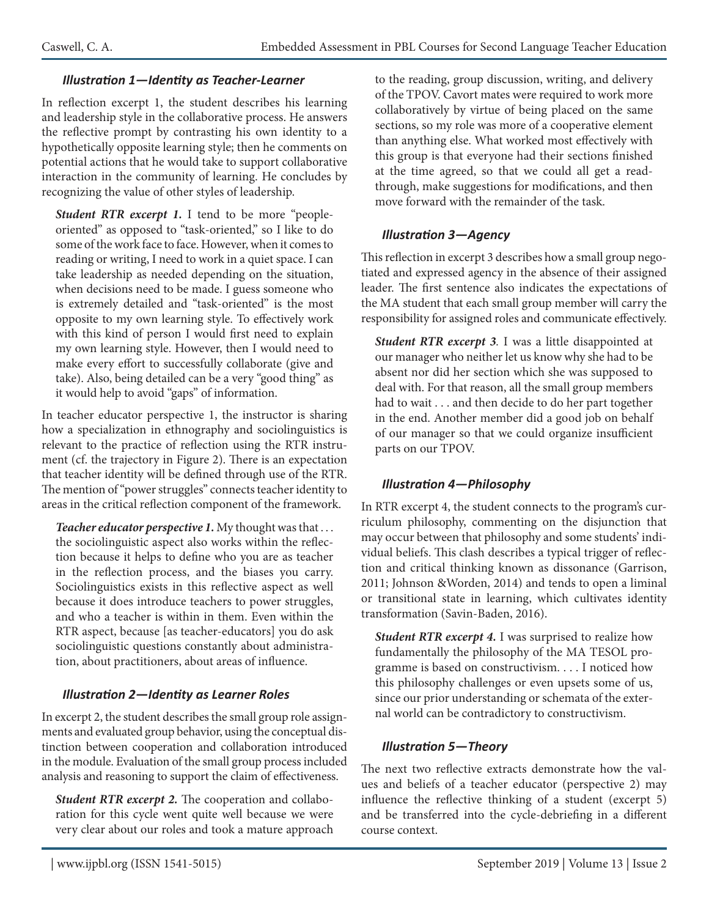#### *Illustration 1—Identity as Teacher-Learner*

In reflection excerpt 1, the student describes his learning and leadership style in the collaborative process. He answers the reflective prompt by contrasting his own identity to a hypothetically opposite learning style; then he comments on potential actions that he would take to support collaborative interaction in the community of learning. He concludes by recognizing the value of other styles of leadership.

*Student RTR excerpt 1.* I tend to be more "peopleoriented" as opposed to "task-oriented," so I like to do some of the work face to face. However, when it comes to reading or writing, I need to work in a quiet space. I can take leadership as needed depending on the situation, when decisions need to be made. I guess someone who is extremely detailed and "task-oriented" is the most opposite to my own learning style. To effectively work with this kind of person I would first need to explain my own learning style. However, then I would need to make every effort to successfully collaborate (give and take). Also, being detailed can be a very "good thing" as it would help to avoid "gaps" of information.

In teacher educator perspective 1, the instructor is sharing how a specialization in ethnography and sociolinguistics is relevant to the practice of reflection using the RTR instrument (cf. the trajectory in Figure 2). There is an expectation that teacher identity will be defined through use of the RTR. The mention of "power struggles" connects teacher identity to areas in the critical reflection component of the framework.

*Teacher educator perspective 1.* My thought was that . . . the sociolinguistic aspect also works within the reflection because it helps to define who you are as teacher in the reflection process, and the biases you carry. Sociolinguistics exists in this reflective aspect as well because it does introduce teachers to power struggles, and who a teacher is within in them. Even within the RTR aspect, because [as teacher-educators] you do ask sociolinguistic questions constantly about administration, about practitioners, about areas of influence.

#### *Illustration 2—Identity as Learner Roles*

In excerpt 2, the student describes the small group role assignments and evaluated group behavior, using the conceptual distinction between cooperation and collaboration introduced in the module. Evaluation of the small group process included analysis and reasoning to support the claim of effectiveness.

*Student RTR excerpt 2.* The cooperation and collaboration for this cycle went quite well because we were very clear about our roles and took a mature approach

to the reading, group discussion, writing, and delivery of the TPOV. Cavort mates were required to work more collaboratively by virtue of being placed on the same sections, so my role was more of a cooperative element than anything else. What worked most effectively with this group is that everyone had their sections finished at the time agreed, so that we could all get a readthrough, make suggestions for modifications, and then move forward with the remainder of the task.

#### *Illustration 3—Agency*

This reflection in excerpt 3 describes how a small group negotiated and expressed agency in the absence of their assigned leader. The first sentence also indicates the expectations of the MA student that each small group member will carry the responsibility for assigned roles and communicate effectively.

*Student RTR excerpt 3.* I was a little disappointed at our manager who neither let us know why she had to be absent nor did her section which she was supposed to deal with. For that reason, all the small group members had to wait . . . and then decide to do her part together in the end. Another member did a good job on behalf of our manager so that we could organize insufficient parts on our TPOV.

#### *Illustration 4—Philosophy*

In RTR excerpt 4, the student connects to the program's curriculum philosophy, commenting on the disjunction that may occur between that philosophy and some students' individual beliefs. This clash describes a typical trigger of reflection and critical thinking known as dissonance (Garrison, 2011; Johnson &Worden, 2014) and tends to open a liminal or transitional state in learning, which cultivates identity transformation (Savin-Baden, 2016).

*Student RTR excerpt 4.* I was surprised to realize how fundamentally the philosophy of the MA TESOL programme is based on constructivism. . . . I noticed how this philosophy challenges or even upsets some of us, since our prior understanding or schemata of the external world can be contradictory to constructivism.

#### *Illustration 5—Theory*

The next two reflective extracts demonstrate how the values and beliefs of a teacher educator (perspective 2) may influence the reflective thinking of a student (excerpt 5) and be transferred into the cycle-debriefing in a different course context.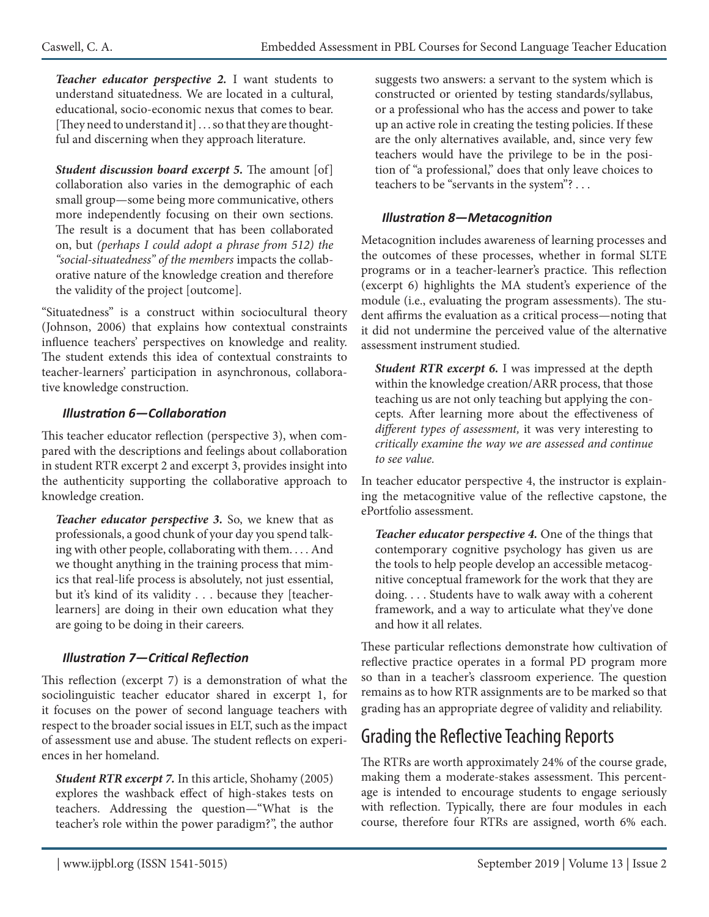*Teacher educator perspective 2.* I want students to understand situatedness. We are located in a cultural, educational, socio-economic nexus that comes to bear. [They need to understand it] . . . so that they are thoughtful and discerning when they approach literature.

*Student discussion board excerpt 5.* The amount [of] collaboration also varies in the demographic of each small group—some being more communicative, others more independently focusing on their own sections. The result is a document that has been collaborated on, but *(perhaps I could adopt a phrase from 512) the "social-situatedness" of the members* impacts the collaborative nature of the knowledge creation and therefore the validity of the project [outcome].

"Situatedness" is a construct within sociocultural theory (Johnson, 2006) that explains how contextual constraints influence teachers' perspectives on knowledge and reality. The student extends this idea of contextual constraints to teacher-learners' participation in asynchronous, collaborative knowledge construction.

#### *Illustration 6—Collaboration*

This teacher educator reflection (perspective 3), when compared with the descriptions and feelings about collaboration in student RTR excerpt 2 and excerpt 3, provides insight into the authenticity supporting the collaborative approach to knowledge creation.

*Teacher educator perspective 3.* So, we knew that as professionals, a good chunk of your day you spend talking with other people, collaborating with them. . . . And we thought anything in the training process that mimics that real-life process is absolutely, not just essential, but it's kind of its validity . . . because they [teacherlearners] are doing in their own education what they are going to be doing in their careers*.*

#### *Illustration 7—Critical Reflection*

This reflection (excerpt 7) is a demonstration of what the sociolinguistic teacher educator shared in excerpt 1, for it focuses on the power of second language teachers with respect to the broader social issues in ELT, such as the impact of assessment use and abuse. The student reflects on experiences in her homeland.

*Student RTR excerpt 7.* In this article, Shohamy (2005) explores the washback effect of high-stakes tests on teachers. Addressing the question—"What is the teacher's role within the power paradigm?", the author

suggests two answers: a servant to the system which is constructed or oriented by testing standards/syllabus, or a professional who has the access and power to take up an active role in creating the testing policies. If these are the only alternatives available, and, since very few teachers would have the privilege to be in the position of "a professional," does that only leave choices to teachers to be "servants in the system"? . . .

#### *Illustration 8—Metacognition*

Metacognition includes awareness of learning processes and the outcomes of these processes, whether in formal SLTE programs or in a teacher-learner's practice. This reflection (excerpt 6) highlights the MA student's experience of the module (i.e., evaluating the program assessments). The student affirms the evaluation as a critical process—noting that it did not undermine the perceived value of the alternative assessment instrument studied.

*Student RTR excerpt 6.* I was impressed at the depth within the knowledge creation/ARR process, that those teaching us are not only teaching but applying the concepts. After learning more about the effectiveness of *different types of assessment,* it was very interesting to *critically examine the way we are assessed and continue to see value.*

In teacher educator perspective 4, the instructor is explaining the metacognitive value of the reflective capstone, the ePortfolio assessment.

*Teacher educator perspective 4.* One of the things that contemporary cognitive psychology has given us are the tools to help people develop an accessible metacognitive conceptual framework for the work that they are doing. . . . Students have to walk away with a coherent framework, and a way to articulate what they've done and how it all relates.

These particular reflections demonstrate how cultivation of reflective practice operates in a formal PD program more so than in a teacher's classroom experience. The question remains as to how RTR assignments are to be marked so that grading has an appropriate degree of validity and reliability.

# Grading the Reflective Teaching Reports

The RTRs are worth approximately 24% of the course grade, making them a moderate-stakes assessment. This percentage is intended to encourage students to engage seriously with reflection. Typically, there are four modules in each course, therefore four RTRs are assigned, worth 6% each.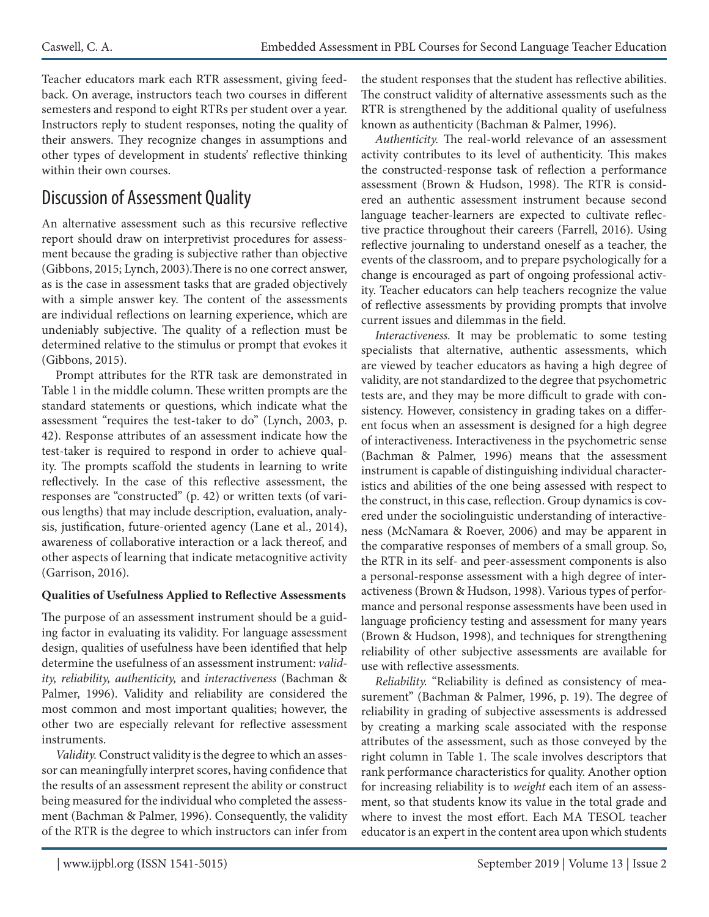Teacher educators mark each RTR assessment, giving feedback. On average, instructors teach two courses in different semesters and respond to eight RTRs per student over a year. Instructors reply to student responses, noting the quality of their answers. They recognize changes in assumptions and other types of development in students' reflective thinking within their own courses.

# Discussion of Assessment Quality

An alternative assessment such as this recursive reflective report should draw on interpretivist procedures for assessment because the grading is subjective rather than objective (Gibbons, 2015; Lynch, 2003).There is no one correct answer, as is the case in assessment tasks that are graded objectively with a simple answer key. The content of the assessments are individual reflections on learning experience, which are undeniably subjective. The quality of a reflection must be determined relative to the stimulus or prompt that evokes it (Gibbons, 2015).

Prompt attributes for the RTR task are demonstrated in Table 1 in the middle column. These written prompts are the standard statements or questions, which indicate what the assessment "requires the test-taker to do" (Lynch, 2003, p. 42). Response attributes of an assessment indicate how the test-taker is required to respond in order to achieve quality. The prompts scaffold the students in learning to write reflectively. In the case of this reflective assessment, the responses are "constructed" (p. 42) or written texts (of various lengths) that may include description, evaluation, analysis, justification, future-oriented agency (Lane et al., 2014), awareness of collaborative interaction or a lack thereof, and other aspects of learning that indicate metacognitive activity (Garrison, 2016).

#### **Qualities of Usefulness Applied to Reflective Assessments**

The purpose of an assessment instrument should be a guiding factor in evaluating its validity. For language assessment design, qualities of usefulness have been identified that help determine the usefulness of an assessment instrument: *validity, reliability, authenticity,* and *interactiveness* (Bachman & Palmer, 1996). Validity and reliability are considered the most common and most important qualities; however, the other two are especially relevant for reflective assessment instruments.

*Validity.* Construct validity is the degree to which an assessor can meaningfully interpret scores, having confidence that the results of an assessment represent the ability or construct being measured for the individual who completed the assessment (Bachman & Palmer, 1996). Consequently, the validity of the RTR is the degree to which instructors can infer from

the student responses that the student has reflective abilities. The construct validity of alternative assessments such as the RTR is strengthened by the additional quality of usefulness known as authenticity (Bachman & Palmer, 1996).

*Authenticity.* The real-world relevance of an assessment activity contributes to its level of authenticity. This makes the constructed-response task of reflection a performance assessment (Brown & Hudson, 1998). The RTR is considered an authentic assessment instrument because second language teacher-learners are expected to cultivate reflective practice throughout their careers (Farrell, 2016). Using reflective journaling to understand oneself as a teacher, the events of the classroom, and to prepare psychologically for a change is encouraged as part of ongoing professional activity. Teacher educators can help teachers recognize the value of reflective assessments by providing prompts that involve current issues and dilemmas in the field.

*Interactiveness.* It may be problematic to some testing specialists that alternative, authentic assessments, which are viewed by teacher educators as having a high degree of validity, are not standardized to the degree that psychometric tests are, and they may be more difficult to grade with consistency. However, consistency in grading takes on a different focus when an assessment is designed for a high degree of interactiveness. Interactiveness in the psychometric sense (Bachman & Palmer, 1996) means that the assessment instrument is capable of distinguishing individual characteristics and abilities of the one being assessed with respect to the construct, in this case, reflection. Group dynamics is covered under the sociolinguistic understanding of interactiveness (McNamara & Roever, 2006) and may be apparent in the comparative responses of members of a small group. So, the RTR in its self- and peer-assessment components is also a personal-response assessment with a high degree of interactiveness (Brown & Hudson, 1998). Various types of performance and personal response assessments have been used in language proficiency testing and assessment for many years (Brown & Hudson, 1998), and techniques for strengthening reliability of other subjective assessments are available for use with reflective assessments.

*Reliability.* "Reliability is defined as consistency of measurement" (Bachman & Palmer, 1996, p. 19). The degree of reliability in grading of subjective assessments is addressed by creating a marking scale associated with the response attributes of the assessment, such as those conveyed by the right column in Table 1. The scale involves descriptors that rank performance characteristics for quality. Another option for increasing reliability is to *weight* each item of an assessment, so that students know its value in the total grade and where to invest the most effort. Each MA TESOL teacher educator is an expert in the content area upon which students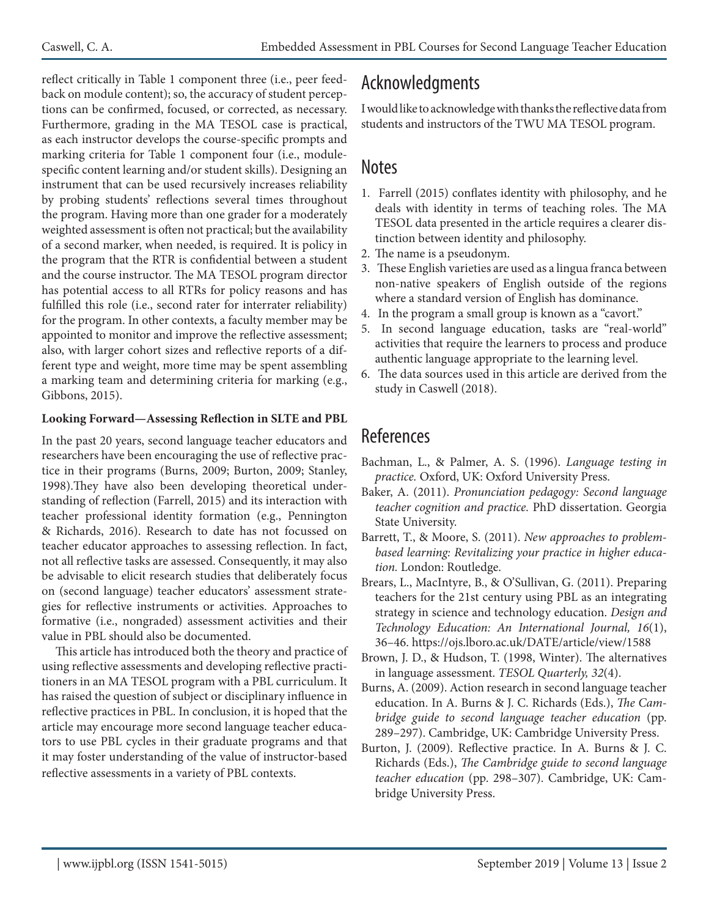reflect critically in Table 1 component three (i.e., peer feedback on module content); so, the accuracy of student perceptions can be confirmed, focused, or corrected, as necessary. Furthermore, grading in the MA TESOL case is practical, as each instructor develops the course-specific prompts and marking criteria for Table 1 component four (i.e., modulespecific content learning and/or student skills). Designing an instrument that can be used recursively increases reliability by probing students' reflections several times throughout the program. Having more than one grader for a moderately weighted assessment is often not practical; but the availability of a second marker, when needed, is required. It is policy in the program that the RTR is confidential between a student and the course instructor. The MA TESOL program director has potential access to all RTRs for policy reasons and has fulfilled this role (i.e., second rater for interrater reliability) for the program. In other contexts, a faculty member may be appointed to monitor and improve the reflective assessment; also, with larger cohort sizes and reflective reports of a different type and weight, more time may be spent assembling a marking team and determining criteria for marking (e.g., Gibbons, 2015).

#### **Looking Forward—Assessing Reflection in SLTE and PBL**

In the past 20 years, second language teacher educators and researchers have been encouraging the use of reflective practice in their programs (Burns, 2009; Burton, 2009; Stanley, 1998).They have also been developing theoretical understanding of reflection (Farrell, 2015) and its interaction with teacher professional identity formation (e.g., Pennington & Richards, 2016). Research to date has not focussed on teacher educator approaches to assessing reflection. In fact, not all reflective tasks are assessed. Consequently, it may also be advisable to elicit research studies that deliberately focus on (second language) teacher educators' assessment strategies for reflective instruments or activities. Approaches to formative (i.e., nongraded) assessment activities and their value in PBL should also be documented.

This article has introduced both the theory and practice of using reflective assessments and developing reflective practitioners in an MA TESOL program with a PBL curriculum. It has raised the question of subject or disciplinary influence in reflective practices in PBL. In conclusion, it is hoped that the article may encourage more second language teacher educators to use PBL cycles in their graduate programs and that it may foster understanding of the value of instructor-based reflective assessments in a variety of PBL contexts.

# Acknowledgments

I would like to acknowledge with thanks the reflective data from students and instructors of the TWU MA TESOL program.

### **Notes**

- 1. Farrell (2015) conflates identity with philosophy, and he deals with identity in terms of teaching roles. The MA TESOL data presented in the article requires a clearer distinction between identity and philosophy.
- 2. The name is a pseudonym.
- 3. These English varieties are used as a lingua franca between non-native speakers of English outside of the regions where a standard version of English has dominance.
- 4. In the program a small group is known as a "cavort."
- 5. In second language education, tasks are "real-world" activities that require the learners to process and produce authentic language appropriate to the learning level.
- 6. The data sources used in this article are derived from the study in Caswell (2018).

### References

- Bachman, L., & Palmer, A. S. (1996). *Language testing in practice.* Oxford, UK: Oxford University Press.
- Baker, A. (2011). *Pronunciation pedagogy: Second language teacher cognition and practice.* PhD dissertation. Georgia State University.
- Barrett, T., & Moore, S. (2011). *New approaches to problembased learning: Revitalizing your practice in higher education.* London: Routledge.
- Brears, L., MacIntyre, B., & O'Sullivan, G. (2011). Preparing teachers for the 21st century using PBL as an integrating strategy in science and technology education. *Design and Technology Education: An International Journal, 16*(1), 36–46. https://ojs.lboro.ac.uk/DATE/article/view/1588
- Brown, J. D., & Hudson, T. (1998, Winter). The alternatives in language assessment. *TESOL Quarterly, 32*(4).
- Burns, A. (2009). Action research in second language teacher education. In A. Burns & J. C. Richards (Eds.), *The Cambridge guide to second language teacher education* (pp. 289–297). Cambridge, UK: Cambridge University Press.
- Burton, J. (2009). Reflective practice. In A. Burns & J. C. Richards (Eds.), *The Cambridge guide to second language teacher education* (pp. 298–307). Cambridge, UK: Cambridge University Press.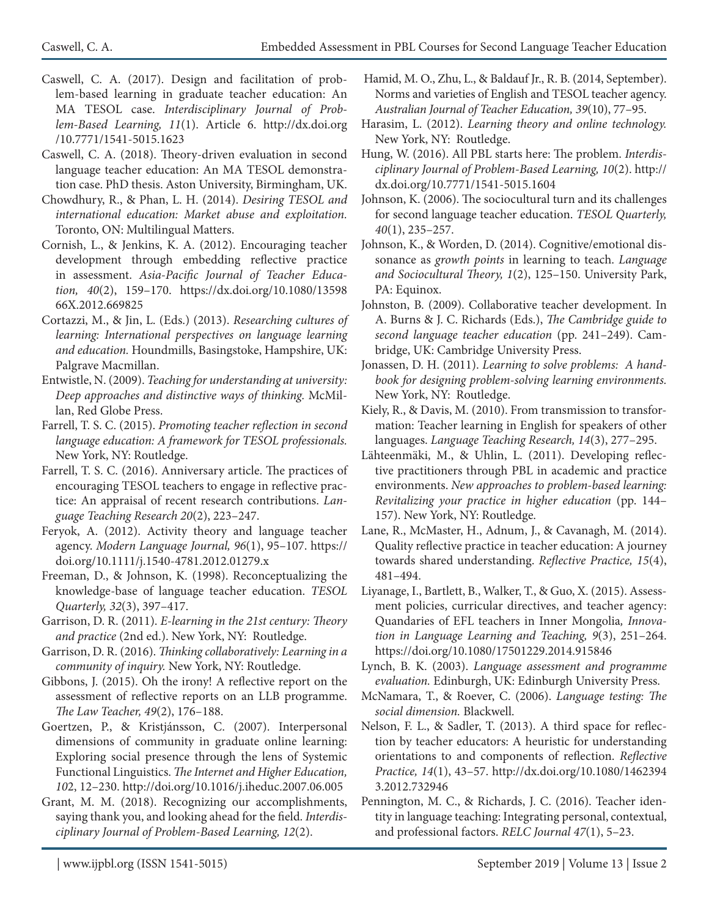- Caswell, C. A. (2017). Design and facilitation of problem-based learning in graduate teacher education: An MA TESOL case. *Interdisciplinary Journal of Problem-Based Learning, 11*(1). Article 6. http://dx.doi.org /10.7771/1541-5015.1623
- Caswell, C. A. (2018). Theory-driven evaluation in second language teacher education: An MA TESOL demonstration case. PhD thesis. Aston University, Birmingham, UK.
- Chowdhury, R., & Phan, L. H. (2014). *Desiring TESOL and international education: Market abuse and exploitation.*  Toronto, ON: Multilingual Matters.
- Cornish, L., & Jenkins, K. A. (2012). Encouraging teacher development through embedding reflective practice in assessment. *Asia-Pacific Journal of Teacher Education, 40*(2), 159–170. https://dx.doi.org/10.1080/13598 66X.2012.669825
- Cortazzi, M., & Jin, L. (Eds.) (2013). *Researching cultures of learning: International perspectives on language learning and education.* Houndmills, Basingstoke, Hampshire, UK: Palgrave Macmillan.
- Entwistle, N. (2009). *Teaching for understanding at university: Deep approaches and distinctive ways of thinking.* McMillan, Red Globe Press.
- Farrell, T. S. C. (2015). *Promoting teacher reflection in second language education: A framework for TESOL professionals.*  New York, NY: Routledge.
- Farrell, T. S. C. (2016). Anniversary article. The practices of encouraging TESOL teachers to engage in reflective practice: An appraisal of recent research contributions. *Language Teaching Research 20*(2), 223–247.
- Feryok, A. (2012). Activity theory and language teacher agency. *Modern Language Journal, 96*(1), 95–107. https:// doi.org/10.1111/j.1540-4781.2012.01279.x
- Freeman, D., & Johnson, K. (1998). Reconceptualizing the knowledge-base of language teacher education. *TESOL Quarterly, 32*(3), 397–417.
- Garrison, D. R. (2011). *E-learning in the 21st century: Theory and practice* (2nd ed.). New York, NY: Routledge.
- Garrison, D. R. (2016). *Thinking collaboratively: Learning in a community of inquiry.* New York, NY: Routledge.
- Gibbons, J. (2015). Oh the irony! A reflective report on the assessment of reflective reports on an LLB programme. *The Law Teacher, 49*(2), 176–188.
- Goertzen, P., & Kristjánsson, C. (2007). Interpersonal dimensions of community in graduate online learning: Exploring social presence through the lens of Systemic Functional Linguistics. *The Internet and Higher Education, 10*2, 12–230. http://doi.org/10.1016/j.iheduc.2007.06.005
- Grant, M. M. (2018). Recognizing our accomplishments, saying thank you, and looking ahead for the field. *Interdisciplinary Journal of Problem-Based Learning, 12*(2).
- Hamid, M. O., Zhu, L., & Baldauf Jr., R. B. (2014, September). Norms and varieties of English and TESOL teacher agency. *Australian Journal of Teacher Education, 39*(10), 77–95.
- Harasim, L. (2012). *Learning theory and online technology.*  New York, NY: Routledge.
- Hung, W. (2016). All PBL starts here: The problem. *Interdisciplinary Journal of Problem-Based Learning, 10*(2). http:// dx.doi.org/10.7771/1541-5015.1604
- Johnson, K. (2006). The sociocultural turn and its challenges for second language teacher education. *TESOL Quarterly, 40*(1), 235–257.
- Johnson, K., & Worden, D. (2014). Cognitive/emotional dissonance as *growth points* in learning to teach. *Language and Sociocultural Theory, 1*(2), 125–150. University Park, PA: Equinox.
- Johnston, B. (2009). Collaborative teacher development. In A. Burns & J. C. Richards (Eds.), *The Cambridge guide to second language teacher education* (pp. 241–249). Cambridge, UK: Cambridge University Press.
- Jonassen, D. H. (2011). *Learning to solve problems: A handbook for designing problem-solving learning environments.*  New York, NY: Routledge.
- Kiely, R., & Davis, M. (2010). From transmission to transformation: Teacher learning in English for speakers of other languages. *Language Teaching Research, 14*(3), 277–295.
- Lähteenmäki, M., & Uhlin, L. (2011). Developing reflective practitioners through PBL in academic and practice environments. *New approaches to problem-based learning: Revitalizing your practice in higher education* (pp. 144– 157). New York, NY: Routledge.
- Lane, R., McMaster, H., Adnum, J., & Cavanagh, M. (2014). Quality reflective practice in teacher education: A journey towards shared understanding. *Reflective Practice, 15*(4), 481–494.
- Liyanage, I., Bartlett, B., Walker, T., & Guo, X. (2015). Assessment policies, curricular directives, and teacher agency: Quandaries of EFL teachers in Inner Mongolia*, Innovation in Language Learning and Teaching, 9*(3), 251–264. https://doi.org/10.1080/17501229.2014.915846
- Lynch, B. K. (2003). *Language assessment and programme evaluation.* Edinburgh, UK: Edinburgh University Press.
- McNamara, T., & Roever, C. (2006). *Language testing: The social dimension.* Blackwell.
- Nelson, F. L., & Sadler, T. (2013). A third space for reflection by teacher educators: A heuristic for understanding orientations to and components of reflection. *Reflective Practice, 14*(1), 43–57. http://dx.doi.org/10.1080/1462394 3.2012.732946
- Pennington, M. C., & Richards, J. C. (2016). Teacher identity in language teaching: Integrating personal, contextual, and professional factors. *RELC Journal 47*(1), 5–23.